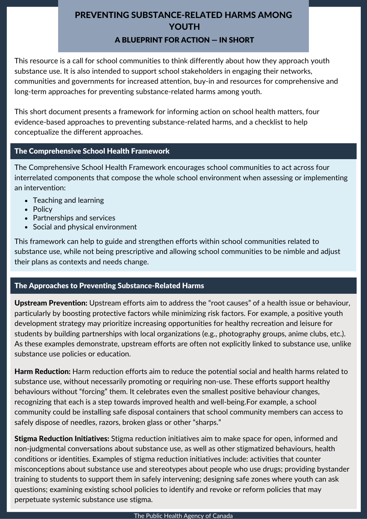# PREVENTING SUBSTANCE-RELATED HARMS AMONG YOUTH A BLUEPRINT FOR ACTION — IN SHORT

This resource is a call for school communities to think differently about how they approach youth substance use. It is also intended to support school stakeholders in engaging their networks, communities and governments for increased attention, buy-in and resources for comprehensive and long-term approaches for preventing substance-related harms among youth.

This short document presents a framework for informing action on school health matters, four evidence-based approaches to preventing substance-related harms, and a checklist to help conceptualize the different approaches.

### The Comprehensive School Health Framework

The Comprehensive School Health Framework encourages school communities to act across four interrelated components that compose the whole school environment when assessing or implementing an intervention:

- Teaching and learning
- Policy
- Partnerships and services
- Social and physical environment

This framework can help to guide and strengthen efforts within school communities related to substance use, while not being prescriptive and allowing school communities to be nimble and adjust their plans as contexts and needs change.

## The Approaches to Preventing Substance-Related Harms

Upstream Prevention: Upstream efforts aim to address the "root causes" of a health issue or behaviour, particularly by boosting protective factors while minimizing risk factors. For example, a positive youth development strategy may prioritize increasing opportunities for healthy recreation and leisure for students by building partnerships with local organizations (e.g., photography groups, anime clubs, etc.). As these examples demonstrate, upstream efforts are often not explicitly linked to substance use, unlike substance use policies or education.

Harm Reduction: Harm reduction efforts aim to reduce the potential social and health harms related to substance use, without necessarily promoting or requiring non-use. These efforts support healthy behaviours without "forcing" them. It celebrates even the smallest positive behaviour changes, recognizing that each is a step towards improved health and well-being.For example, a school community could be installing safe disposal containers that school community members can access to safely dispose of needles, razors, broken glass or other "sharps."

**Stigma Reduction Initiatives:** Stigma reduction initiatives aim to make space for open, informed and non-judgmental conversations about substance use, as well as other stigmatized behaviours, health conditions or identities. Examples of stigma reduction initiatives include: activities that counter misconceptions about substance use and stereotypes about people who use drugs; providing bystander training to students to support them in safely intervening; designing safe zones where youth can ask questions; examining existing school policies to identify and revoke or reform policies that may perpetuate systemic substance use stigma.